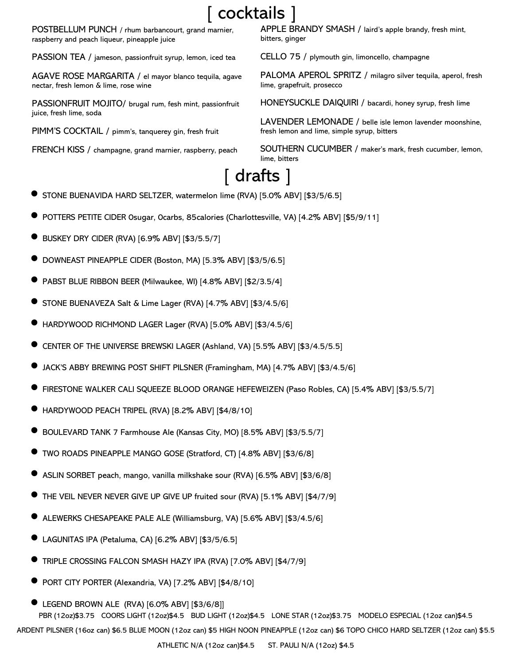# [ cocktails ]

POSTBELLUM PUNCH / rhum barbancourt, grand marnier, raspberry and peach liqueur, pineapple juice

PASSION TEA / jameson, passionfruit syrup, lemon, iced tea

AGAVE ROSE MARGARITA / el mayor blanco tequila, agave nectar, fresh lemon & lime, rose wine

PASSIONFRUIT MOJITO/ brugal rum, fesh mint, passionfruit juice, fresh lime, soda

PIMM'S COCKTAIL / pimm's, tanquerey gin, fresh fruit

FRENCH KISS / champagne, grand marnier, raspberry, peach

APPLE BRANDY SMASH / laird's apple brandy, fresh mint, bitters, ginger

CELLO 75 / plymouth gin, limoncello, champagne

PALOMA APEROL SPRITZ / milagro silver tequila, aperol, fresh lime, grapefruit, prosecco

HONEYSUCKLE DAIQUIRI / bacardi, honey syrup, fresh lime

LAVENDER LEMONADE / belle isle lemon lavender moonshine, fresh lemon and lime, simple syrup, bitters

SOUTHERN CUCUMBER / maker's mark, fresh cucumber, lemon, lime, bitters

# [ drafts ]

- STONE BUENAVIDA HARD SELTZER, watermelon lime (RVA) [5.0% ABV] [\$3/5/6.5]
- POTTERS PETITE CIDER 0sugar, 0carbs, 85calories (Charlottesville, VA) [4.2% ABV] [\$5/9/11]
- BUSKEY DRY CIDER (RVA) [6.9% ABV] [\$3/5.5/7]
- DOWNEAST PINEAPPLE CIDER (Boston, MA) [5.3% ABV] [\$3/5/6.5]
- PABST BLUE RIBBON BEER (Milwaukee, WI) [4.8% ABV] [\$2/3.5/4]
- STONE BUENAVEZA Salt & Lime Lager (RVA) [4.7% ABV] [\$3/4.5/6]
- HARDYWOOD RICHMOND LAGER Lager (RVA) [5.0% ABV] [\$3/4.5/6]
- CENTER OF THE UNIVERSE BREWSKI LAGER (Ashland, VA) [5.5% ABV] [\$3/4.5/5.5]
- JACK'S ABBY BREWING POST SHIFT PILSNER (Framingham, MA) [4.7% ABV] [\$3/4.5/6]
- FIRESTONE WALKER CALI SQUEEZE BLOOD ORANGE HEFEWEIZEN (Paso Robles, CA) [5.4% ABV] [\$3/5.5/7]
- HARDYWOOD PEACH TRIPEL (RVA) [8.2% ABV] [\$4/8/10]
- BOULEVARD TANK 7 Farmhouse Ale (Kansas City, MO) [8.5% ABV] [\$3/5.5/7]
- TWO ROADS PINEAPPLE MANGO GOSE (Stratford, CT) [4.8% ABV] [\$3/6/8]
- ASLIN SORBET peach, mango, vanilla milkshake sour (RVA) [6.5% ABV] [\$3/6/8]
- THE VEIL NEVER NEVER GIVE UP GIVE UP fruited sour (RVA) [5.1% ABV] [\$4/7/9]
- ALEWERKS CHESAPEAKE PALE ALE (Williamsburg, VA) [5.6% ABV] [\$3/4.5/6]
- LAGUNITAS IPA (Petaluma, CA) [6.2% ABV] [\$3/5/6.5]
- TRIPLE CROSSING FALCON SMASH HAZY IPA (RVA) [7.0% ABV] [\$4/7/9]
- PORT CITY PORTER (Alexandria, VA) [7.2% ABV] [\$4/8/10]
- LEGEND BROWN ALE (RVA) [6.0% ABV] [\$3/6/8]] PBR (12oz)\$3.75 COORS LIGHT (12oz)\$4.5 BUD LIGHT (12oz)\$4.5 LONE STAR (12oz)\$3.75 MODELO ESPECIAL (12oz can)\$4.5 ARDENT PILSNER (16oz can) \$6.5 BLUE MOON (12oz can) \$5 HIGH NOON PINEAPPLE (12oz can) \$6 TOPO CHICO HARD SELTZER (12oz can) \$5.5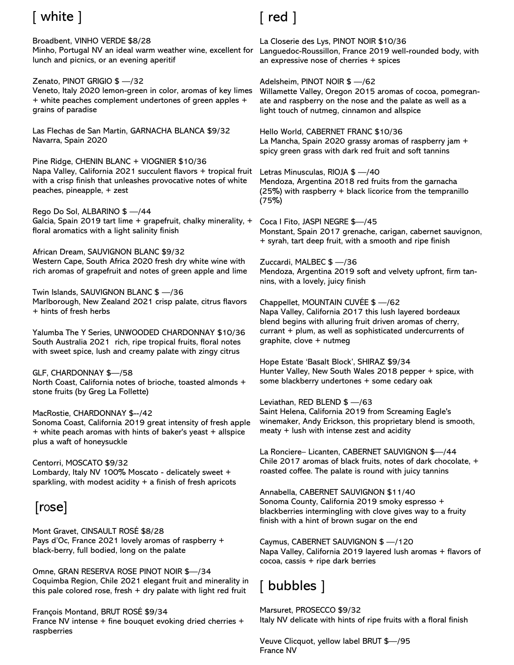# [ white ]

Broadbent, VINHO VERDE \$8/28 Minho, Portugal NV an ideal warm weather wine, excellent for lunch and picnics, or an evening aperitif

Zenato, PINOT GRIGIO \$ —/32 Veneto, Italy 2020 lemon-green in color, aromas of key limes + white peaches complement undertones of green apples +

grains of paradise Las Flechas de San Martin, GARNACHA BLANCA \$9/32

Navarra, Spain 2020

Pine Ridge, CHENIN BLANC + VIOGNIER \$10/36 Napa Valley, California 2021 succulent flavors + tropical fruit with a crisp finish that unleashes provocative notes of white peaches, pineapple, + zest

Rego Do Sol, ALBARINO \$ —/44 Galcia, Spain 2019 tart lime + grapefruit, chalky minerality, + floral aromatics with a light salinity finish

African Dream, SAUVIGNON BLANC \$9/32 Western Cape, South Africa 2020 fresh dry white wine with rich aromas of grapefruit and notes of green apple and lime

Twin Islands, SAUVIGNON BLANC \$ —/36 Marlborough, New Zealand 2021 crisp palate, citrus flavors + hints of fresh herbs

Yalumba The Y Series, UNWOODED CHARDONNAY \$10/36 South Australia 2021 rich, ripe tropical fruits, floral notes with sweet spice, lush and creamy palate with zingy citrus

GLF, CHARDONNAY \$—/58 North Coast, California notes of brioche, toasted almonds + stone fruits (by Greg La Follette)

#### MacRostie, CHARDONNAY \$--/42

Sonoma Coast, California 2019 great intensity of fresh apple + white peach aromas with hints of baker's yeast + allspice plus a waft of honeysuckle

Centorri, MOSCATO \$9/32 Lombardy, Italy NV 100% Moscato - delicately sweet + sparkling, with modest acidity + a finish of fresh apricots

## [r0se]

Mont Gravet, CINSAULT ROSÉ \$8/28 Pays d'Oc, France 2021 lovely aromas of raspberry + black-berry, full bodied, long on the palate

Omne, GRAN RESERVA ROSE PINOT NOIR \$—/34 Coquimba Region, Chile 2021 elegant fruit and minerality in this pale colored rose, fresh + dry palate with light red fruit

François Montand, BRUT ROSÉ \$9/34 France NV intense + fine bouquet evoking dried cherries + raspberries

## [ red ]

La Closerie des Lys, PINOT NOIR \$10/36 Languedoc-Roussillon, France 2019 well-rounded body, with an expressive nose of cherries + spices

Adelsheim, PINOT NOIR \$ —/62 Willamette Valley, Oregon 2015 aromas of cocoa, pomegranate and raspberry on the nose and the palate as well as a light touch of nutmeg, cinnamon and allspice

Hello World, CABERNET FRANC \$10/36 La Mancha, Spain 2020 grassy aromas of raspberry jam + spicy green grass with dark red fruit and soft tannins

Letras Minusculas, RIOJA \$ —/40 Mendoza, Argentina 2018 red fruits from the garnacha (25%) with raspberry + black licorice from the tempranillo (75%)

Coca I Fito, JASPI NEGRE \$—/45 Monstant, Spain 2017 grenache, carigan, cabernet sauvignon, + syrah, tart deep fruit, with a smooth and ripe finish

Zuccardi, MALBEC \$ —/36 Mendoza, Argentina 2019 soft and velvety upfront, firm tannins, with a lovely, juicy finish

Chappellet, MOUNTAIN CUVÉE \$ —/62 Napa Valley, California 2017 this lush layered bordeaux blend begins with alluring fruit driven aromas of cherry, currant + plum, as well as sophisticated undercurrents of graphite, clove + nutmeg

Hope Estate 'Basalt Block', SHIRAZ \$9/34 Hunter Valley, New South Wales 2018 pepper + spice, with some blackberry undertones + some cedary oak

Leviathan, RED BLEND \$ —/63 Saint Helena, California 2019 from Screaming Eagle's winemaker, Andy Erickson, this proprietary blend is smooth, meaty + lush with intense zest and acidity

La Ronciere– Licanten, CABERNET SAUVIGNON \$—/44 Chile 2017 aromas of black fruits, notes of dark chocolate, + roasted coffee. The palate is round with juicy tannins

Annabella, CABERNET SAUVIGNON \$11/40 Sonoma County, California 2019 smoky espresso + blackberries intermingling with clove gives way to a fruity finish with a hint of brown sugar on the end

Caymus, CABERNET SAUVIGNON \$ —/120 Napa Valley, California 2019 layered lush aromas + flavors of  $c$ ocoa,  $c$ assis + ripe dark berries

# [ bubbles ]

Marsuret, PROSECCO \$9/32 Italy NV delicate with hints of ripe fruits with a floral finish

Veuve Clicquot, yellow label BRUT \$—/95 France NV